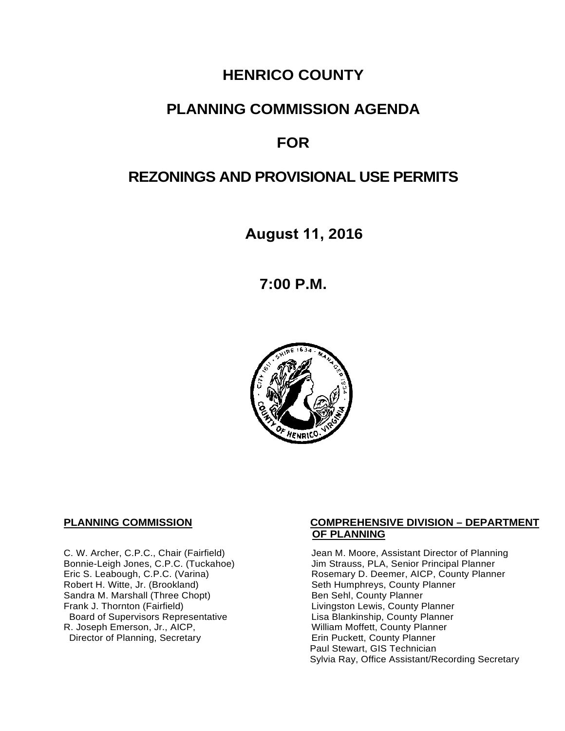# **HENRICO COUNTY**

# **PLANNING COMMISSION AGENDA**

# **FOR**

# **REZONINGS AND PROVISIONAL USE PERMITS**

**August 11, 2016** 

**7:00 P.M.**



Sandra M. Marshall (Three Chopt)<br>Frank J. Thornton (Fairfield) Board of Supervisors Representative Fig. 2016 Lisa Blankinship, County Planner<br>L. Joseph Emerson, Jr., AICP, North County Planner (Nilliam Moffett, County Planner) R. Joseph Emerson, Jr., AICP, <br>
Director of Planning, Secretary 
William Moffett, County Planner Director of Planning, Secretary

#### **PLANNING COMMISSION COMPREHENSIVE DIVISION – DEPARTMENT OF PLANNING**

C. W. Archer, C.P.C., Chair (Fairfield) Jean M. Moore, Assistant Director of Planning<br>Bonnie-Leigh Jones, C.P.C. (Tuckahoe) Jim Strauss, PLA, Senior Principal Planner Bonnie-Leigh Jones, C.P.C. (Tuckahoe) Jim Strauss, PLA, Senior Principal Planner<br>Eric S. Leabough, C.P.C. (Varina) Rosemary D. Deemer, AICP, County Planne Eric S. Leabough, C.P.C. (Varina) The Rosemary D. Deemer, AICP, County Planner<br>Robert H. Witte, Jr. (Brookland) The Seth Humphreys, County Planner Seth Humphreys, County Planner<br>Ben Sehl, County Planner Livingston Lewis, County Planner<br>Lisa Blankinship, County Planner Paul Stewart, GIS Technician Sylvia Ray, Office Assistant/Recording Secretary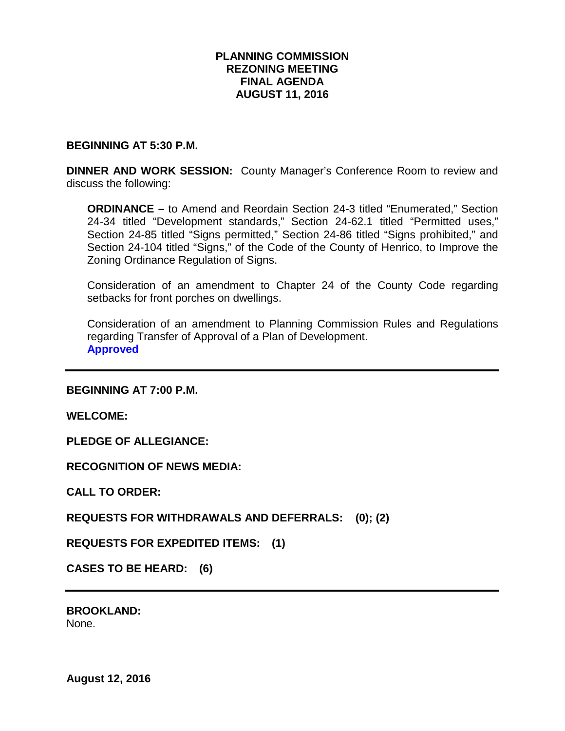### **PLANNING COMMISSION REZONING MEETING FINAL AGENDA AUGUST 11, 2016**

#### **BEGINNING AT 5:30 P.M.**

**DINNER AND WORK SESSION:** County Manager's Conference Room to review and discuss the following:

**ORDINANCE –** to Amend and Reordain Section 24-3 titled "Enumerated," Section 24-34 titled "Development standards," Section 24-62.1 titled "Permitted uses," Section 24-85 titled "Signs permitted," Section 24-86 titled "Signs prohibited," and Section 24-104 titled "Signs," of the Code of the County of Henrico, to Improve the Zoning Ordinance Regulation of Signs.

Consideration of an amendment to Chapter 24 of the County Code regarding setbacks for front porches on dwellings.

Consideration of an amendment to Planning Commission Rules and Regulations regarding Transfer of Approval of a Plan of Development. **Approved**

**BEGINNING AT 7:00 P.M.**

**WELCOME:**

**PLEDGE OF ALLEGIANCE:**

**RECOGNITION OF NEWS MEDIA:**

**CALL TO ORDER:**

**REQUESTS FOR WITHDRAWALS AND DEFERRALS: (0); (2)**

**REQUESTS FOR EXPEDITED ITEMS: (1)**

**CASES TO BE HEARD: (6)**

**BROOKLAND:**  None.

**August 12, 2016**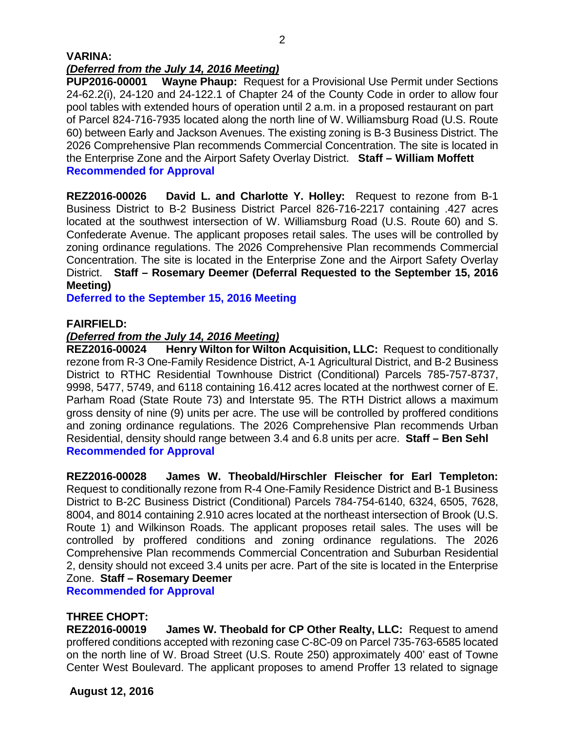#### **VARINA:** *(Deferred from the July 14, 2016 Meeting)*

**PUP2016-00001 Wayne Phaup:** Request for a Provisional Use Permit under Sections 24-62.2(i), 24-120 and 24-122.1 of Chapter 24 of the County Code in order to allow four pool tables with extended hours of operation until 2 a.m. in a proposed restaurant on part of Parcel 824-716-7935 located along the north line of W. Williamsburg Road (U.S. Route 60) between Early and Jackson Avenues. The existing zoning is B-3 Business District. The 2026 Comprehensive Plan recommends Commercial Concentration. The site is located in the Enterprise Zone and the Airport Safety Overlay District. **Staff – William Moffett Recommended for Approval**

**REZ2016-00026 David L. and Charlotte Y. Holley:** Request to rezone from B-1 Business District to B-2 Business District Parcel 826-716-2217 containing .427 acres located at the southwest intersection of W. Williamsburg Road (U.S. Route 60) and S. Confederate Avenue. The applicant proposes retail sales. The uses will be controlled by zoning ordinance regulations. The 2026 Comprehensive Plan recommends Commercial Concentration. The site is located in the Enterprise Zone and the Airport Safety Overlay District. **Staff – Rosemary Deemer (Deferral Requested to the September 15, 2016 Meeting)**

**Deferred to the September 15, 2016 Meeting**

## **FAIRFIELD:**

## *(Deferred from the July 14, 2016 Meeting)*

**REZ2016-00024 Henry Wilton for Wilton Acquisition, LLC:** Request to conditionally rezone from R-3 One-Family Residence District, A-1 Agricultural District, and B-2 Business District to RTHC Residential Townhouse District (Conditional) Parcels 785-757-8737, 9998, 5477, 5749, and 6118 containing 16.412 acres located at the northwest corner of E. Parham Road (State Route 73) and Interstate 95. The RTH District allows a maximum gross density of nine (9) units per acre. The use will be controlled by proffered conditions and zoning ordinance regulations. The 2026 Comprehensive Plan recommends Urban Residential, density should range between 3.4 and 6.8 units per acre. **Staff – Ben Sehl Recommended for Approval**

**REZ2016-00028 James W. Theobald/Hirschler Fleischer for Earl Templeton:** Request to conditionally rezone from R-4 One-Family Residence District and B-1 Business District to B-2C Business District (Conditional) Parcels 784-754-6140, 6324, 6505, 7628, 8004, and 8014 containing 2.910 acres located at the northeast intersection of Brook (U.S. Route 1) and Wilkinson Roads. The applicant proposes retail sales. The uses will be controlled by proffered conditions and zoning ordinance regulations. The 2026 Comprehensive Plan recommends Commercial Concentration and Suburban Residential 2, density should not exceed 3.4 units per acre. Part of the site is located in the Enterprise Zone. **Staff – Rosemary Deemer**

**Recommended for Approval**

## **THREE CHOPT:**

**REZ2016-00019 James W. Theobald for CP Other Realty, LLC:** Request to amend proffered conditions accepted with rezoning case C-8C-09 on Parcel 735-763-6585 located on the north line of W. Broad Street (U.S. Route 250) approximately 400' east of Towne Center West Boulevard. The applicant proposes to amend Proffer 13 related to signage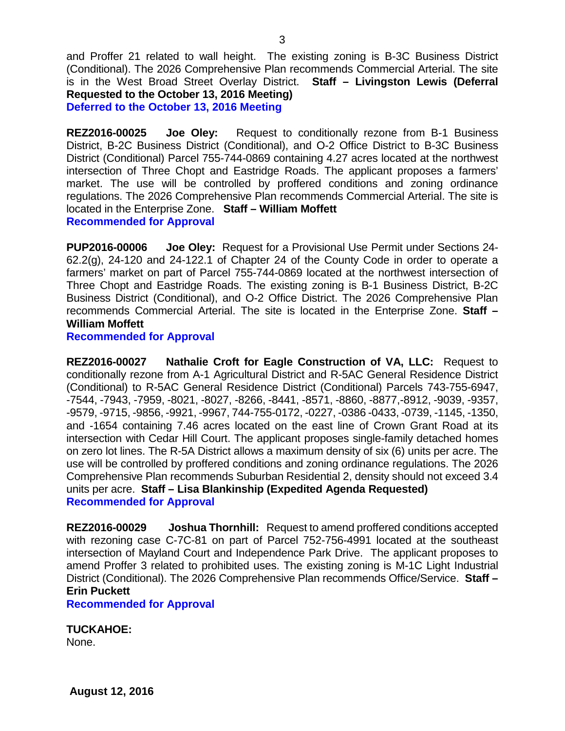and Proffer 21 related to wall height. The existing zoning is B-3C Business District (Conditional). The 2026 Comprehensive Plan recommends Commercial Arterial. The site is in the West Broad Street Overlay District. **Staff – Livingston Lewis (Deferral Requested to the October 13, 2016 Meeting) Deferred to the October 13, 2016 Meeting**

**REZ2016-00025 Joe Oley:** Request to conditionally rezone from B-1 Business District, B-2C Business District (Conditional), and O-2 Office District to B-3C Business District (Conditional) Parcel 755-744-0869 containing 4.27 acres located at the northwest intersection of Three Chopt and Eastridge Roads. The applicant proposes a farmers' market. The use will be controlled by proffered conditions and zoning ordinance regulations. The 2026 Comprehensive Plan recommends Commercial Arterial. The site is located in the Enterprise Zone. **Staff – William Moffett Recommended for Approval**

**PUP2016-00006 Joe Oley:** Request for a Provisional Use Permit under Sections 24- 62.2(g), 24-120 and 24-122.1 of Chapter 24 of the County Code in order to operate a farmers' market on part of Parcel 755-744-0869 located at the northwest intersection of Three Chopt and Eastridge Roads. The existing zoning is B-1 Business District, B-2C Business District (Conditional), and O-2 Office District. The 2026 Comprehensive Plan recommends Commercial Arterial. The site is located in the Enterprise Zone. **Staff – William Moffett**

**Recommended for Approval**

**REZ2016-00027 Nathalie Croft for Eagle Construction of VA, LLC:** Request to conditionally rezone from A-1 Agricultural District and R-5AC General Residence District (Conditional) to R-5AC General Residence District (Conditional) Parcels 743-755-6947, -7544, -7943, -7959, -8021, -8027, -8266, -8441, -8571, -8860, -8877,-8912, -9039, -9357, -9579, -9715, -9856, -9921, -9967, 744-755-0172, -0227, -0386 -0433, -0739, -1145, -1350, and -1654 containing 7.46 acres located on the east line of Crown Grant Road at its intersection with Cedar Hill Court. The applicant proposes single-family detached homes on zero lot lines. The R-5A District allows a maximum density of six (6) units per acre. The use will be controlled by proffered conditions and zoning ordinance regulations. The 2026 Comprehensive Plan recommends Suburban Residential 2, density should not exceed 3.4 units per acre. **Staff – Lisa Blankinship (Expedited Agenda Requested) Recommended for Approval**

**REZ2016-00029 Joshua Thornhill:** Request to amend proffered conditions accepted with rezoning case C-7C-81 on part of Parcel 752-756-4991 located at the southeast intersection of Mayland Court and Independence Park Drive. The applicant proposes to amend Proffer 3 related to prohibited uses. The existing zoning is M-1C Light Industrial District (Conditional). The 2026 Comprehensive Plan recommends Office/Service. **Staff – Erin Puckett**

**Recommended for Approval**

**TUCKAHOE:**

None.